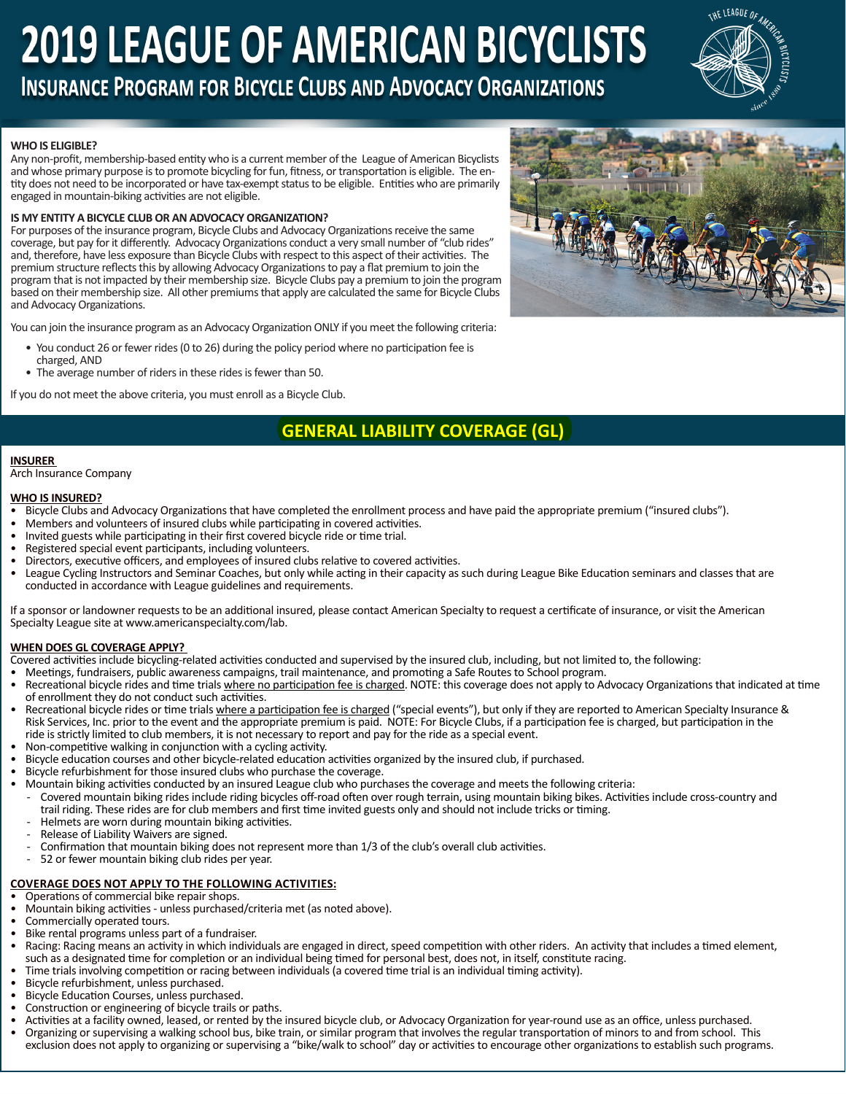# **2019 LEAGUE OF AMERICAN BICYCLISTS**

# **INSURANCE PROGRAM FOR BICYCLE CLUBS AND ADVOCACY ORGANIZATIONS**



#### **WHO IS ELIGIBLE?**

Any non-profit, membership-based entity who is a current member of the League of American Bicyclists and whose primary purpose is to promote bicycling for fun, fitness, or transportation is eligible. The entity does not need to be incorporated or have tax-exempt status to be eligible. Entities who are primarily engaged in mountain-biking activities are not eligible.

#### **IS MY ENTITY A BICYCLE CLUB OR AN ADVOCACY ORGANIZATION?**

For purposes of the insurance program, Bicycle Clubs and Advocacy Organizations receive the same coverage, but pay for it differently. Advocacy Organizations conduct a very small number of "club rides" and, therefore, have less exposure than Bicycle Clubs with respect to this aspect of their activities. The premium structure reflects this by allowing Advocacy Organizations to pay a flat premium to join the program that is not impacted by their membership size. Bicycle Clubs pay a premium to join the program based on their membership size. All other premiums that apply are calculated the same for Bicycle Clubs and Advocacy Organizations.

You can join the insurance program as an Advocacy Organization ONLY if you meet the following criteria:

- You conduct 26 or fewer rides (0 to 26) during the policy period where no participation fee is charged, AND
- The average number of riders in these rides is fewer than 50.

If you do not meet the above criteria, you must enroll as a Bicycle Club.



# **GENERAL LIABILITY COVERAGE (GL)**

#### **INSURER**

Arch Insurance Company

#### **WHO IS INSURED?**

- Bicycle Clubs and Advocacy Organizations that have completed the enrollment process and have paid the appropriate premium ("insured clubs").<br>• Members and volunteers of insured clubs while participating in covered activi
- Members and volunteers of insured clubs while participating in covered activities.
- Invited guests while participating in their first covered bicycle ride or time trial.<br>• Registered special event participants, including volunteers.
- Registered special event participants, including volunteers.<br>• Directors, executive officers, and employees of insured club
- Directors, executive officers, and employees of insured clubs relative to covered activities.
- League Cycling Instructors and Seminar Coaches, but only while acting in their capacity as such during League Bike Education seminars and classes that are conducted in accordance with League guidelines and requirements.

If a sponsor or landowner requests to be an additional insured, please contact American Specialty to request a certificate of insurance, or visit the American Specialty League site at www.americanspecialty.com/lab.

#### **WHEN DOES GL COVERAGE APPLY?**

Covered activities include bicycling-related activities conducted and supervised by the insured club, including, but not limited to, the following:

- Meetings, fundraisers, public awareness campaigns, trail maintenance, and promoting a Safe Routes to School program.<br>• Recreational bicycle rides and time trials where no participation fee is charged. NOTF: this coverage
- Recreational bicycle rides and time trials where no participation fee is charged. NOTE: this coverage does not apply to Advocacy Organizations that indicated at time of enrollment they do not conduct such activities.
- Recreational bicycle rides or time trials where a participation fee is charged ("special events"), but only if they are reported to American Specialty Insurance & Risk Services, Inc. prior to the event and the appropriate premium is paid. NOTE: For Bicycle Clubs, if a participation fee is charged, but participation in the ride is strictly limited to club members, it is not necessary to report and pay for the ride as a special event.
- Non-competitive walking in conjunction with a cycling activity.
- Bicycle education courses and other bicycle-related education activities organized by the insured club, if purchased.<br>• Bicycle refurbishment for those insured clubs who purchase the coverage.
- Bicycle refurbishment for those insured clubs who purchase the coverage.
- Mountain biking activities conducted by an insured League club who purchases the coverage and meets the following criteria:
- Covered mountain biking rides include riding bicycles off-road often over rough terrain, using mountain biking bikes. Activities include cross-country and trail riding. These rides are for club members and first time invited guests only and should not include tricks or timing.
- Helmets are worn during mountain biking activities.
- Release of Liability Waivers are signed.
- Confirmation that mountain biking does not represent more than 1/3 of the club's overall club activities.
- 52 or fewer mountain biking club rides per year.

#### **COVERAGE DOES NOT APPLY TO THE FOLLOWING ACTIVITIES:**

- Operations of commercial bike repair shops.
- Mountain biking activities unless purchased/criteria met (as noted above).
- Commercially operated tours.
- Bike rental programs unless part of a fundraiser.
- Racing: Racing means an activity in which individuals are engaged in direct, speed competition with other riders. An activity that includes a timed element, such as a designated time for completion or an individual being timed for personal best, does not, in itself, constitute racing.
- Time trials involving competition or racing between individuals (a covered time trial is an individual timing activity).
- 
- Bicycle refurbishment, unless purchased. Bicycle Education Courses, unless purchased.
- Construction or engineering of bicycle trails or paths.
- Activities at a facility owned, leased, or rented by the insured bicycle club, or Advocacy Organization for year-round use as an office, unless purchased.
- Organizing or supervising a walking school bus, bike train, or similar program that involves the regular transportation of minors to and from school. This exclusion does not apply to organizing or supervising a "bike/walk to school" day or activities to encourage other organizations to establish such programs.